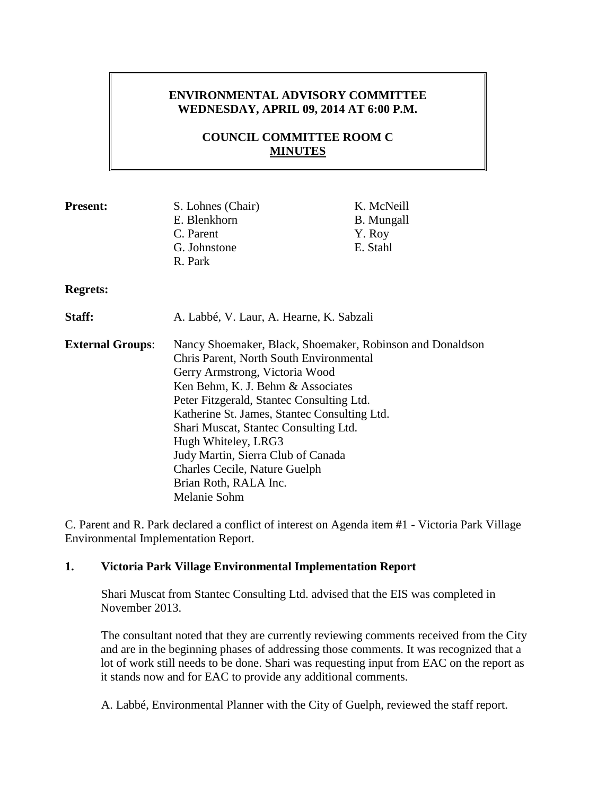## **ENVIRONMENTAL ADVISORY COMMITTEE WEDNESDAY, APRIL 09, 2014 AT 6:00 P.M.**

# **COUNCIL COMMITTEE ROOM C MINUTES**

| <b>Present:</b>         | S. Lohnes (Chair)                                                                                                                      | K. McNeill        |                                           |  |
|-------------------------|----------------------------------------------------------------------------------------------------------------------------------------|-------------------|-------------------------------------------|--|
|                         | E. Blenkhorn                                                                                                                           | <b>B.</b> Mungall |                                           |  |
|                         | C. Parent                                                                                                                              | Y. Roy            |                                           |  |
|                         | G. Johnstone                                                                                                                           | E. Stahl          |                                           |  |
|                         | R. Park                                                                                                                                |                   |                                           |  |
| <b>Regrets:</b>         |                                                                                                                                        |                   |                                           |  |
| Staff:                  | A. Labbé, V. Laur, A. Hearne, K. Sabzali                                                                                               |                   |                                           |  |
| <b>External Groups:</b> | Nancy Shoemaker, Black, Shoemaker, Robinson and Donaldson<br>Chris Parent, North South Environmental<br>Gerry Armstrong, Victoria Wood |                   |                                           |  |
|                         |                                                                                                                                        |                   | Ken Behm, K. J. Behm & Associates         |  |
|                         |                                                                                                                                        |                   | Peter Fitzgerald, Stantec Consulting Ltd. |  |
|                         | Katherine St. James, Stantec Consulting Ltd.                                                                                           |                   |                                           |  |
|                         | Shari Muscat, Stantec Consulting Ltd.                                                                                                  |                   |                                           |  |
|                         | Hugh Whiteley, LRG3                                                                                                                    |                   |                                           |  |
|                         | Judy Martin, Sierra Club of Canada                                                                                                     |                   |                                           |  |
|                         | Charles Cecile, Nature Guelph                                                                                                          |                   |                                           |  |
|                         | Brian Roth, RALA Inc.                                                                                                                  |                   |                                           |  |
|                         | Melanie Sohm                                                                                                                           |                   |                                           |  |

C. Parent and R. Park declared a conflict of interest on Agenda item #1 - Victoria Park Village Environmental Implementation Report.

### **1. Victoria Park Village Environmental Implementation Report**

Shari Muscat from Stantec Consulting Ltd. advised that the EIS was completed in November 2013.

The consultant noted that they are currently reviewing comments received from the City and are in the beginning phases of addressing those comments. It was recognized that a lot of work still needs to be done. Shari was requesting input from EAC on the report as it stands now and for EAC to provide any additional comments.

A. Labbé, Environmental Planner with the City of Guelph, reviewed the staff report.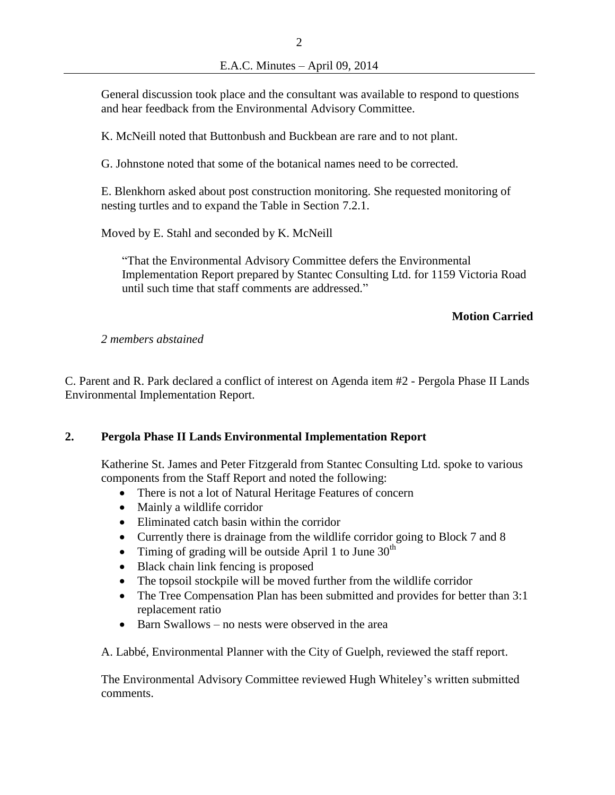General discussion took place and the consultant was available to respond to questions and hear feedback from the Environmental Advisory Committee.

K. McNeill noted that Buttonbush and Buckbean are rare and to not plant.

G. Johnstone noted that some of the botanical names need to be corrected.

E. Blenkhorn asked about post construction monitoring. She requested monitoring of nesting turtles and to expand the Table in Section 7.2.1.

Moved by E. Stahl and seconded by K. McNeill

"That the Environmental Advisory Committee defers the Environmental Implementation Report prepared by Stantec Consulting Ltd. for 1159 Victoria Road until such time that staff comments are addressed."

### **Motion Carried**

*2 members abstained*

C. Parent and R. Park declared a conflict of interest on Agenda item #2 - Pergola Phase II Lands Environmental Implementation Report.

## **2. Pergola Phase II Lands Environmental Implementation Report**

Katherine St. James and Peter Fitzgerald from Stantec Consulting Ltd. spoke to various components from the Staff Report and noted the following:

- There is not a lot of Natural Heritage Features of concern
- Mainly a wildlife corridor
- Eliminated catch basin within the corridor
- Currently there is drainage from the wildlife corridor going to Block 7 and 8
- Timing of grading will be outside April 1 to June  $30<sup>th</sup>$
- Black chain link fencing is proposed
- The topsoil stockpile will be moved further from the wildlife corridor
- The Tree Compensation Plan has been submitted and provides for better than 3:1 replacement ratio
- Barn Swallows no nests were observed in the area

A. Labbé, Environmental Planner with the City of Guelph, reviewed the staff report.

The Environmental Advisory Committee reviewed Hugh Whiteley's written submitted comments.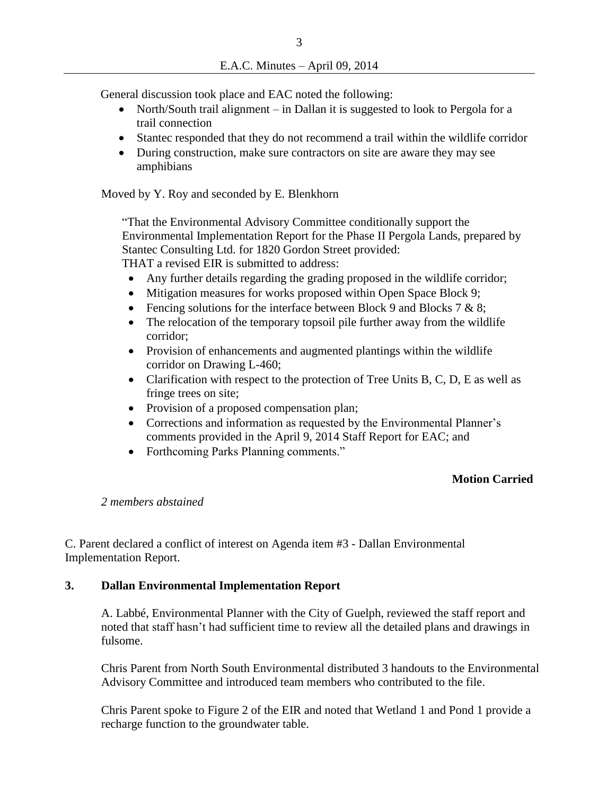General discussion took place and EAC noted the following:

- North/South trail alignment in Dallan it is suggested to look to Pergola for a trail connection
- Stantec responded that they do not recommend a trail within the wildlife corridor
- During construction, make sure contractors on site are aware they may see amphibians

Moved by Y. Roy and seconded by E. Blenkhorn

"That the Environmental Advisory Committee conditionally support the Environmental Implementation Report for the Phase II Pergola Lands, prepared by Stantec Consulting Ltd. for 1820 Gordon Street provided: THAT a revised EIR is submitted to address:

- Any further details regarding the grading proposed in the wildlife corridor;
- Mitigation measures for works proposed within Open Space Block 9;
- Fencing solutions for the interface between Block 9 and Blocks 7  $\&$  8;
- The relocation of the temporary topsoil pile further away from the wildlife corridor;
- Provision of enhancements and augmented plantings within the wildlife corridor on Drawing L-460;
- Clarification with respect to the protection of Tree Units B, C, D, E as well as fringe trees on site;
- Provision of a proposed compensation plan;
- Corrections and information as requested by the Environmental Planner's comments provided in the April 9, 2014 Staff Report for EAC; and
- Forthcoming Parks Planning comments."

## **Motion Carried**

### *2 members abstained*

C. Parent declared a conflict of interest on Agenda item #3 - Dallan Environmental Implementation Report.

### **3. Dallan Environmental Implementation Report**

A. Labbé, Environmental Planner with the City of Guelph, reviewed the staff report and noted that staff hasn't had sufficient time to review all the detailed plans and drawings in fulsome.

Chris Parent from North South Environmental distributed 3 handouts to the Environmental Advisory Committee and introduced team members who contributed to the file.

Chris Parent spoke to Figure 2 of the EIR and noted that Wetland 1 and Pond 1 provide a recharge function to the groundwater table.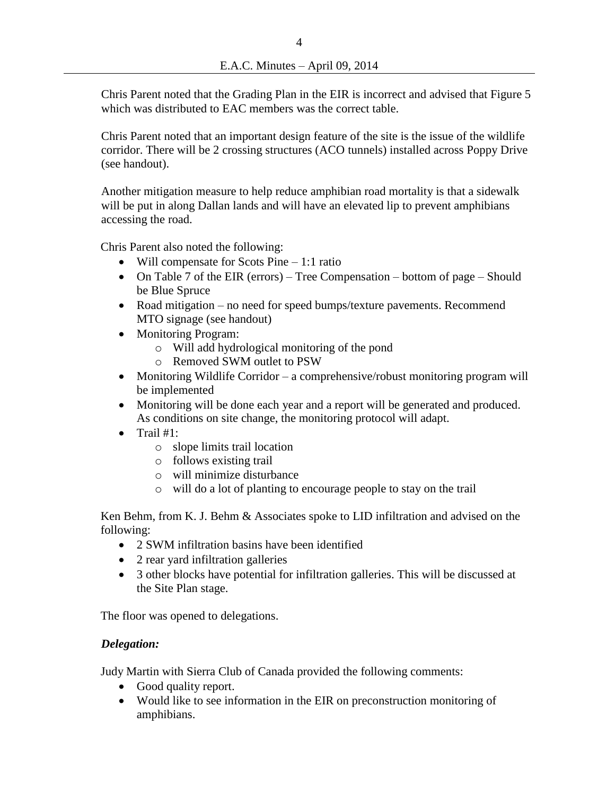Chris Parent noted that the Grading Plan in the EIR is incorrect and advised that Figure 5 which was distributed to EAC members was the correct table.

Chris Parent noted that an important design feature of the site is the issue of the wildlife corridor. There will be 2 crossing structures (ACO tunnels) installed across Poppy Drive (see handout).

Another mitigation measure to help reduce amphibian road mortality is that a sidewalk will be put in along Dallan lands and will have an elevated lip to prevent amphibians accessing the road.

Chris Parent also noted the following:

- Will compensate for Scots Pine  $-1:1$  ratio
- On Table 7 of the EIR (errors) Tree Compensation bottom of page Should be Blue Spruce
- Road mitigation no need for speed bumps/texture pavements. Recommend MTO signage (see handout)
- Monitoring Program:
	- o Will add hydrological monitoring of the pond
	- o Removed SWM outlet to PSW
- Monitoring Wildlife Corridor a comprehensive/robust monitoring program will be implemented
- Monitoring will be done each year and a report will be generated and produced. As conditions on site change, the monitoring protocol will adapt.
- $\bullet$  Trail #1:
	- o slope limits trail location
	- o follows existing trail
	- o will minimize disturbance
	- o will do a lot of planting to encourage people to stay on the trail

Ken Behm, from K. J. Behm & Associates spoke to LID infiltration and advised on the following:

- 2 SWM infiltration basins have been identified
- 2 rear yard infiltration galleries
- 3 other blocks have potential for infiltration galleries. This will be discussed at the Site Plan stage.

The floor was opened to delegations.

### *Delegation:*

Judy Martin with Sierra Club of Canada provided the following comments:

- Good quality report.
- Would like to see information in the EIR on preconstruction monitoring of amphibians.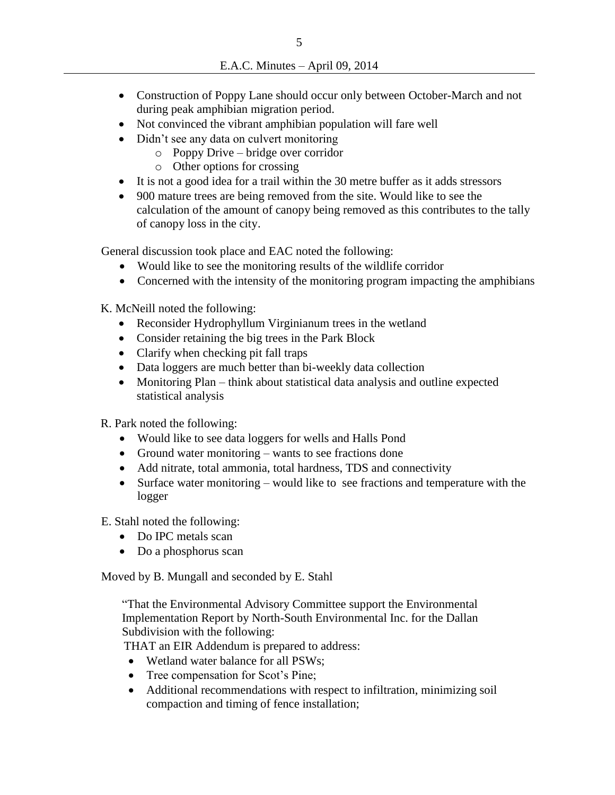- Construction of Poppy Lane should occur only between October-March and not during peak amphibian migration period.
- Not convinced the vibrant amphibian population will fare well
- Didn't see any data on culvert monitoring
	- o Poppy Drive bridge over corridor
	- o Other options for crossing
- It is not a good idea for a trail within the 30 metre buffer as it adds stressors
- 900 mature trees are being removed from the site. Would like to see the calculation of the amount of canopy being removed as this contributes to the tally of canopy loss in the city.

General discussion took place and EAC noted the following:

- Would like to see the monitoring results of the wildlife corridor
- Concerned with the intensity of the monitoring program impacting the amphibians

K. McNeill noted the following:

- Reconsider Hydrophyllum Virginianum trees in the wetland
- Consider retaining the big trees in the Park Block
- Clarify when checking pit fall traps
- Data loggers are much better than bi-weekly data collection
- Monitoring Plan think about statistical data analysis and outline expected statistical analysis

R. Park noted the following:

- Would like to see data loggers for wells and Halls Pond
- Ground water monitoring wants to see fractions done
- Add nitrate, total ammonia, total hardness, TDS and connectivity
- Surface water monitoring would like to see fractions and temperature with the logger

E. Stahl noted the following:

- Do IPC metals scan
- Do a phosphorus scan

Moved by B. Mungall and seconded by E. Stahl

"That the Environmental Advisory Committee support the Environmental Implementation Report by North-South Environmental Inc. for the Dallan Subdivision with the following:

THAT an EIR Addendum is prepared to address:

- Wetland water balance for all PSWs;
- Tree compensation for Scot's Pine;
- Additional recommendations with respect to infiltration, minimizing soil compaction and timing of fence installation;